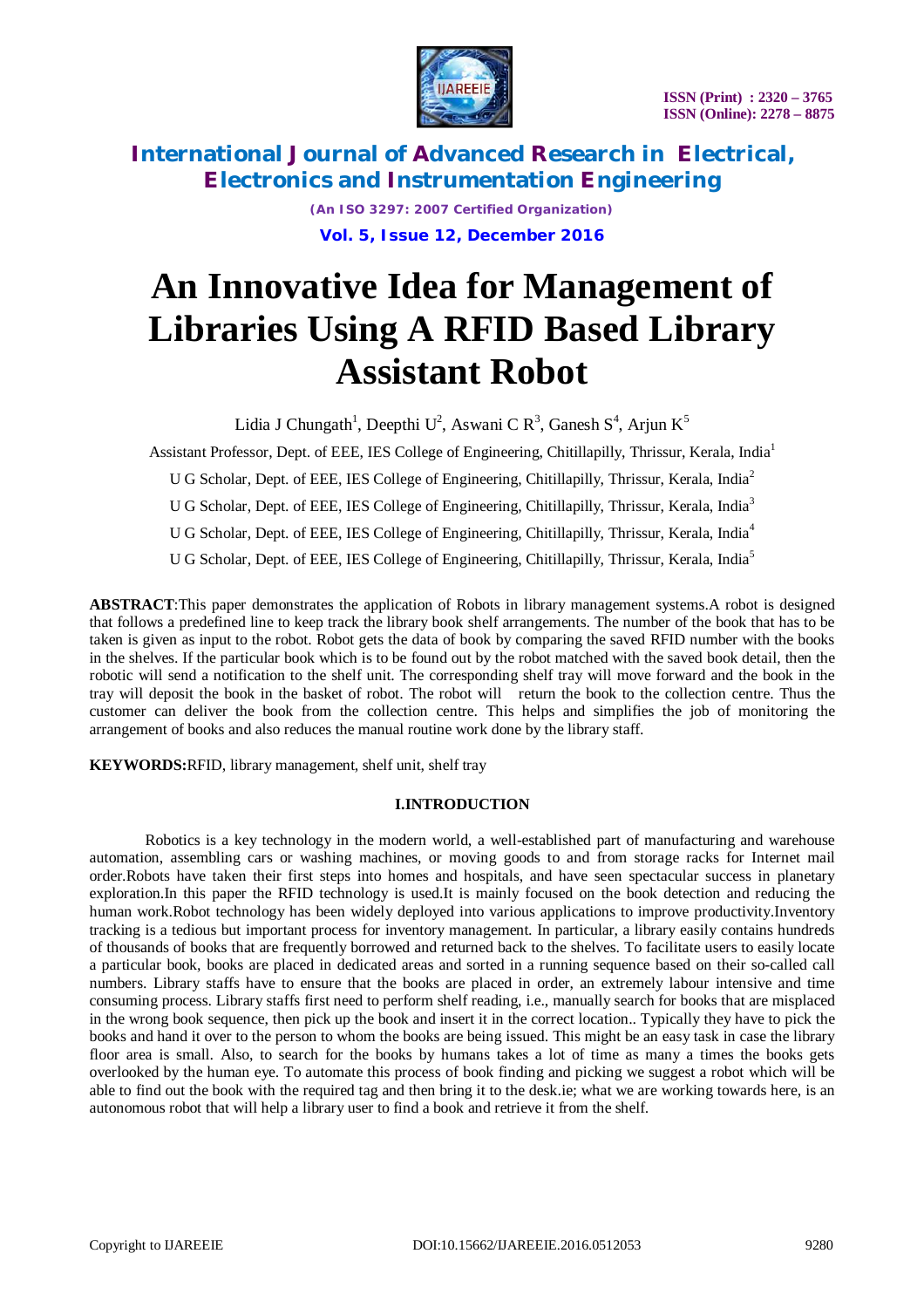

> *(An ISO 3297: 2007 Certified Organization)* **Vol. 5, Issue 12, December 2016**

# **An Innovative Idea for Management of Libraries Using A RFID Based Library Assistant Robot**

Lidia J Chungath<sup>1</sup>, Deepthi U<sup>2</sup>, Aswani C R<sup>3</sup>, Ganesh S<sup>4</sup>, Arjun K<sup>5</sup>

Assistant Professor, Dept. of EEE, IES College of Engineering, Chitillapilly, Thrissur, Kerala, India<sup>1</sup>

U G Scholar, Dept. of EEE, IES College of Engineering, Chitillapilly, Thrissur, Kerala, India<sup>2</sup>

U G Scholar, Dept. of EEE, IES College of Engineering, Chitillapilly, Thrissur, Kerala, India<sup>3</sup>

U G Scholar, Dept. of EEE, IES College of Engineering, Chitillapilly, Thrissur, Kerala, India<sup>4</sup>

U G Scholar, Dept. of EEE, IES College of Engineering, Chitillapilly, Thrissur, Kerala, India<sup>5</sup>

**ABSTRACT**:This paper demonstrates the application of Robots in library management systems.A robot is designed that follows a predefined line to keep track the library book shelf arrangements. The number of the book that has to be taken is given as input to the robot. Robot gets the data of book by comparing the saved RFID number with the books in the shelves. If the particular book which is to be found out by the robot matched with the saved book detail, then the robotic will send a notification to the shelf unit. The corresponding shelf tray will move forward and the book in the tray will deposit the book in the basket of robot. The robot will return the book to the collection centre. Thus the customer can deliver the book from the collection centre. This helps and simplifies the job of monitoring the arrangement of books and also reduces the manual routine work done by the library staff.

**KEYWORDS:**RFID, library management, shelf unit, shelf tray

### **I.INTRODUCTION**

Robotics is a key technology in the modern world, a well-established part of manufacturing and warehouse automation, assembling cars or washing machines, or moving goods to and from storage racks for Internet mail order.Robots have taken their first steps into homes and hospitals, and have seen spectacular success in planetary exploration.In this paper the RFID technology is used.It is mainly focused on the book detection and reducing the human work.Robot technology has been widely deployed into various applications to improve productivity.Inventory tracking is a tedious but important process for inventory management. In particular, a library easily contains hundreds of thousands of books that are frequently borrowed and returned back to the shelves. To facilitate users to easily locate a particular book, books are placed in dedicated areas and sorted in a running sequence based on their so-called call numbers. Library staffs have to ensure that the books are placed in order, an extremely labour intensive and time consuming process. Library staffs first need to perform shelf reading, i.e., manually search for books that are misplaced in the wrong book sequence, then pick up the book and insert it in the correct location.. Typically they have to pick the books and hand it over to the person to whom the books are being issued. This might be an easy task in case the library floor area is small. Also, to search for the books by humans takes a lot of time as many a times the books gets overlooked by the human eye. To automate this process of book finding and picking we suggest a robot which will be able to find out the book with the required tag and then bring it to the desk.ie; what we are working towards here, is an autonomous robot that will help a library user to find a book and retrieve it from the shelf.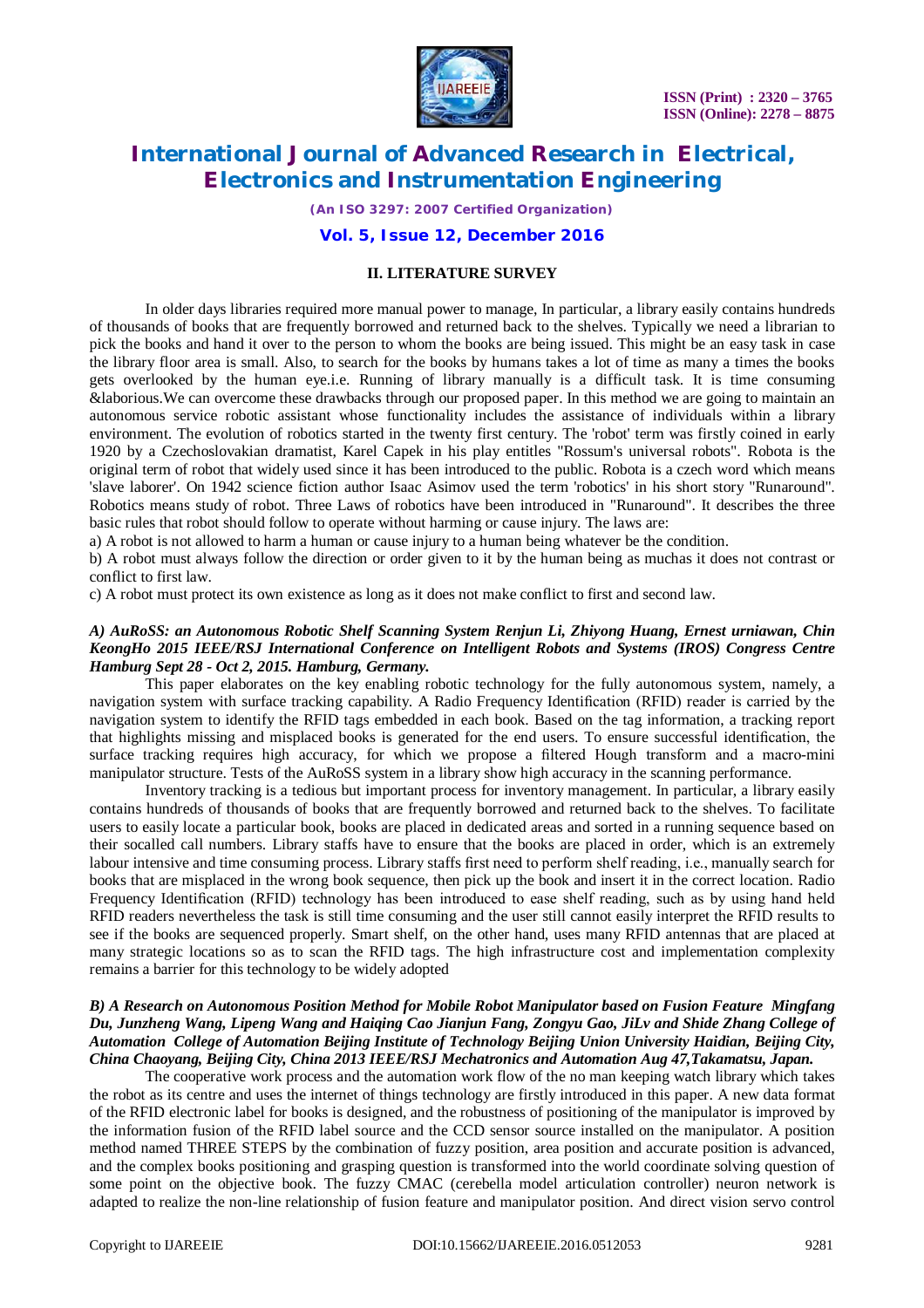

*(An ISO 3297: 2007 Certified Organization)*

### **Vol. 5, Issue 12, December 2016**

#### **II. LITERATURE SURVEY**

In older days libraries required more manual power to manage, In particular, a library easily contains hundreds of thousands of books that are frequently borrowed and returned back to the shelves. Typically we need a librarian to pick the books and hand it over to the person to whom the books are being issued. This might be an easy task in case the library floor area is small. Also, to search for the books by humans takes a lot of time as many a times the books gets overlooked by the human eye.i.e. Running of library manually is a difficult task. It is time consuming &laborious.We can overcome these drawbacks through our proposed paper. In this method we are going to maintain an autonomous service robotic assistant whose functionality includes the assistance of individuals within a library environment. The evolution of robotics started in the twenty first century. The 'robot' term was firstly coined in early 1920 by a Czechoslovakian dramatist, Karel Capek in his play entitles "Rossum's universal robots". Robota is the original term of robot that widely used since it has been introduced to the public. Robota is a czech word which means 'slave laborer'. On 1942 science fiction author Isaac Asimov used the term 'robotics' in his short story "Runaround". Robotics means study of robot. Three Laws of robotics have been introduced in "Runaround". It describes the three basic rules that robot should follow to operate without harming or cause injury. The laws are:

a) A robot is not allowed to harm a human or cause injury to a human being whatever be the condition.

b) A robot must always follow the direction or order given to it by the human being as muchas it does not contrast or conflict to first law.

c) A robot must protect its own existence as long as it does not make conflict to first and second law.

#### *A) AuRoSS: an Autonomous Robotic Shelf Scanning System Renjun Li, Zhiyong Huang, Ernest urniawan, Chin KeongHo 2015 IEEE/RSJ International Conference on Intelligent Robots and Systems (IROS) Congress Centre Hamburg Sept 28 - Oct 2, 2015. Hamburg, Germany.*

This paper elaborates on the key enabling robotic technology for the fully autonomous system, namely, a navigation system with surface tracking capability. A Radio Frequency Identification (RFID) reader is carried by the navigation system to identify the RFID tags embedded in each book. Based on the tag information, a tracking report that highlights missing and misplaced books is generated for the end users. To ensure successful identification, the surface tracking requires high accuracy, for which we propose a filtered Hough transform and a macro-mini manipulator structure. Tests of the AuRoSS system in a library show high accuracy in the scanning performance.

Inventory tracking is a tedious but important process for inventory management. In particular, a library easily contains hundreds of thousands of books that are frequently borrowed and returned back to the shelves. To facilitate users to easily locate a particular book, books are placed in dedicated areas and sorted in a running sequence based on their socalled call numbers. Library staffs have to ensure that the books are placed in order, which is an extremely labour intensive and time consuming process. Library staffs first need to perform shelf reading, i.e., manually search for books that are misplaced in the wrong book sequence, then pick up the book and insert it in the correct location. Radio Frequency Identification (RFID) technology has been introduced to ease shelf reading, such as by using hand held RFID readers nevertheless the task is still time consuming and the user still cannot easily interpret the RFID results to see if the books are sequenced properly. Smart shelf, on the other hand, uses many RFID antennas that are placed at many strategic locations so as to scan the RFID tags. The high infrastructure cost and implementation complexity remains a barrier for this technology to be widely adopted

#### *B) A Research on Autonomous Position Method for Mobile Robot Manipulator based on Fusion Feature Mingfang Du, Junzheng Wang, Lipeng Wang and Haiqing Cao Jianjun Fang, Zongyu Gao, JiLv and Shide Zhang College of Automation College of Automation Beijing Institute of Technology Beijing Union University Haidian, Beijing City, China Chaoyang, Beijing City, China 2013 IEEE/RSJ Mechatronics and Automation Aug 47,Takamatsu, Japan.*

The cooperative work process and the automation work flow of the no man keeping watch library which takes the robot as its centre and uses the internet of things technology are firstly introduced in this paper. A new data format of the RFID electronic label for books is designed, and the robustness of positioning of the manipulator is improved by the information fusion of the RFID label source and the CCD sensor source installed on the manipulator. A position method named THREE STEPS by the combination of fuzzy position, area position and accurate position is advanced, and the complex books positioning and grasping question is transformed into the world coordinate solving question of some point on the objective book. The fuzzy CMAC (cerebella model articulation controller) neuron network is adapted to realize the non-line relationship of fusion feature and manipulator position. And direct vision servo control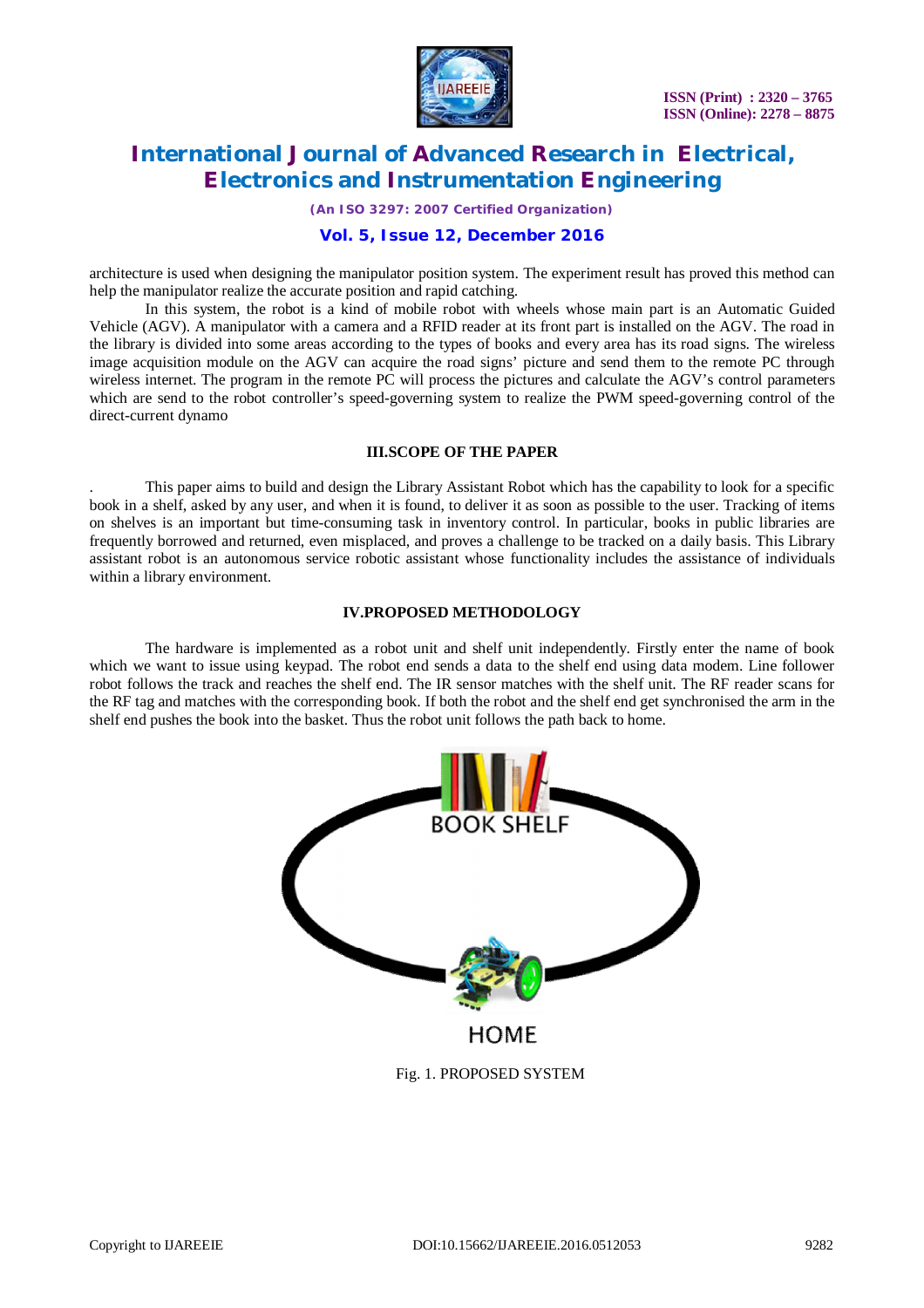

*(An ISO 3297: 2007 Certified Organization)*

### **Vol. 5, Issue 12, December 2016**

architecture is used when designing the manipulator position system. The experiment result has proved this method can help the manipulator realize the accurate position and rapid catching.

In this system, the robot is a kind of mobile robot with wheels whose main part is an Automatic Guided Vehicle (AGV). A manipulator with a camera and a RFID reader at its front part is installed on the AGV. The road in the library is divided into some areas according to the types of books and every area has its road signs. The wireless image acquisition module on the AGV can acquire the road signs' picture and send them to the remote PC through wireless internet. The program in the remote PC will process the pictures and calculate the AGV's control parameters which are send to the robot controller's speed-governing system to realize the PWM speed-governing control of the direct-current dynamo

### **III.SCOPE OF THE PAPER**

. This paper aims to build and design the Library Assistant Robot which has the capability to look for a specific book in a shelf, asked by any user, and when it is found, to deliver it as soon as possible to the user. Tracking of items on shelves is an important but time-consuming task in inventory control. In particular, books in public libraries are frequently borrowed and returned, even misplaced, and proves a challenge to be tracked on a daily basis. This Library assistant robot is an autonomous service robotic assistant whose functionality includes the assistance of individuals within a library environment.

#### **IV.PROPOSED METHODOLOGY**

The hardware is implemented as a robot unit and shelf unit independently. Firstly enter the name of book which we want to issue using keypad. The robot end sends a data to the shelf end using data modem. Line follower robot follows the track and reaches the shelf end. The IR sensor matches with the shelf unit. The RF reader scans for the RF tag and matches with the corresponding book. If both the robot and the shelf end get synchronised the arm in the shelf end pushes the book into the basket. Thus the robot unit follows the path back to home.



Fig. 1. PROPOSED SYSTEM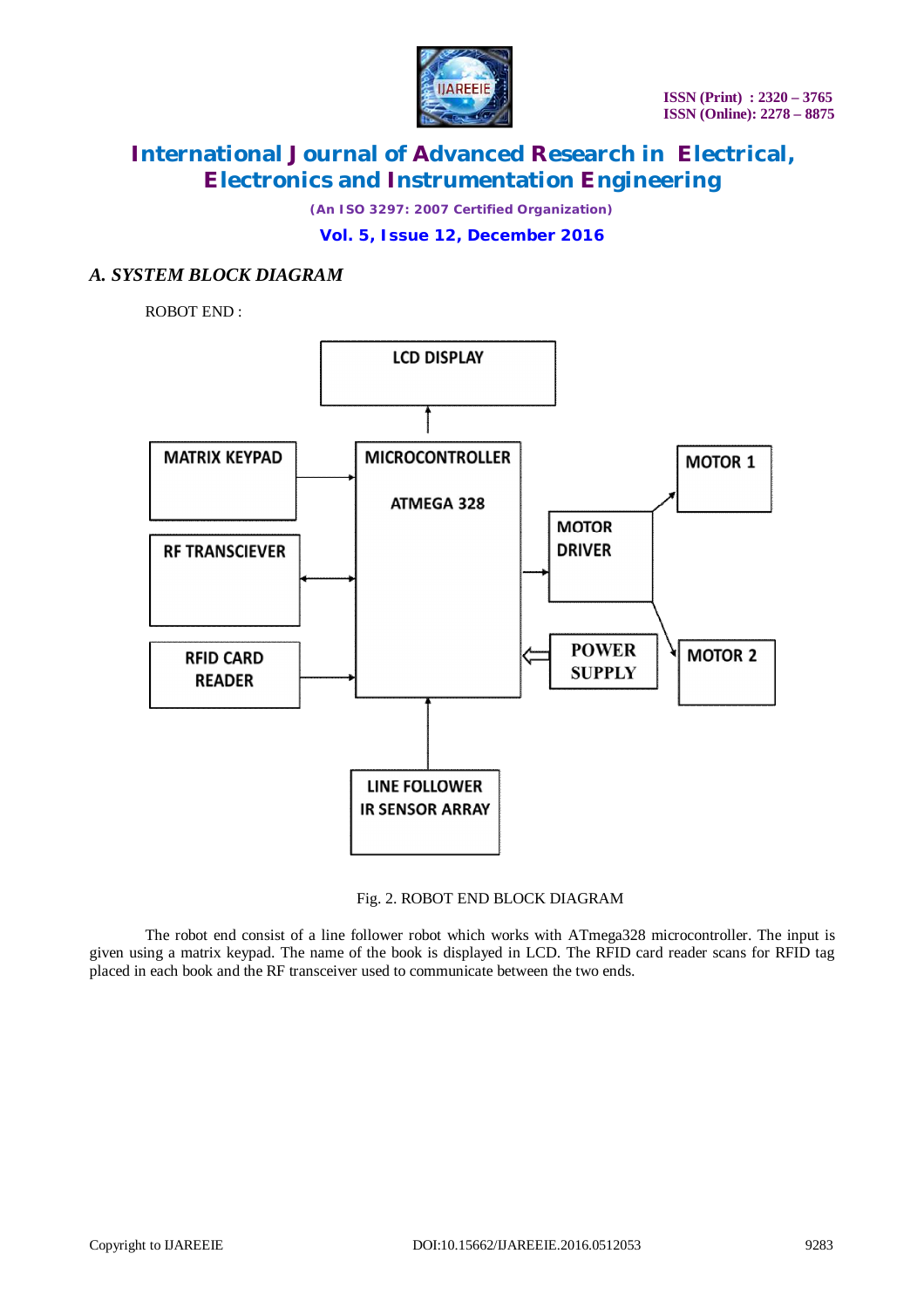

*(An ISO 3297: 2007 Certified Organization)*

**Vol. 5, Issue 12, December 2016**

# *A. SYSTEM BLOCK DIAGRAM*

ROBOT END :



### Fig. 2. ROBOT END BLOCK DIAGRAM

The robot end consist of a line follower robot which works with ATmega328 microcontroller. The input is given using a matrix keypad. The name of the book is displayed in LCD. The RFID card reader scans for RFID tag placed in each book and the RF transceiver used to communicate between the two ends.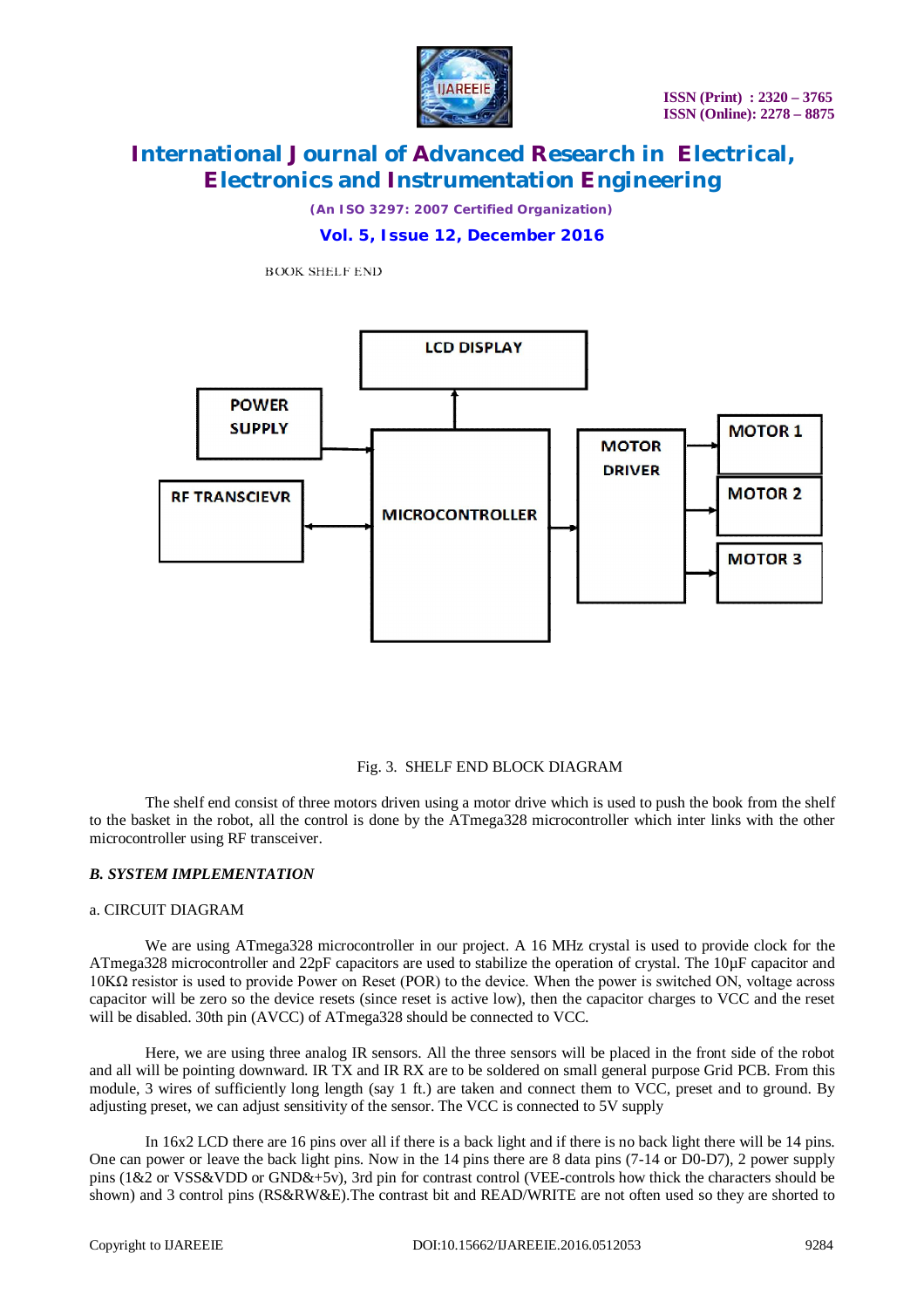

*(An ISO 3297: 2007 Certified Organization)*

**Vol. 5, Issue 12, December 2016**

**BOOK SHELF END** 



#### Fig. 3. SHELF END BLOCK DIAGRAM

The shelf end consist of three motors driven using a motor drive which is used to push the book from the shelf to the basket in the robot, all the control is done by the ATmega328 microcontroller which inter links with the other microcontroller using RF transceiver.

#### *B. SYSTEM IMPLEMENTATION*

#### a. CIRCUIT DIAGRAM

We are using ATmega328 microcontroller in our project. A 16 MHz crystal is used to provide clock for the ATmega328 microcontroller and 22pF capacitors are used to stabilize the operation of crystal. The 10µF capacitor and 10KΩ resistor is used to provide Power on Reset (POR) to the device. When the power is switched ON, voltage across capacitor will be zero so the device resets (since reset is active low), then the capacitor charges to VCC and the reset will be disabled. 30th pin (AVCC) of ATmega328 should be connected to VCC.

Here, we are using three analog IR sensors. All the three sensors will be placed in the front side of the robot and all will be pointing downward. IR TX and IR RX are to be soldered on small general purpose Grid PCB. From this module, 3 wires of sufficiently long length (say 1 ft.) are taken and connect them to VCC, preset and to ground. By adjusting preset, we can adjust sensitivity of the sensor. The VCC is connected to 5V supply

In 16x2 LCD there are 16 pins over all if there is a back light and if there is no back light there will be 14 pins. One can power or leave the back light pins. Now in the 14 pins there are 8 data pins (7-14 or D0-D7), 2 power supply pins (1&2 or VSS&VDD or GND&+5v), 3rd pin for contrast control (VEE-controls how thick the characters should be shown) and 3 control pins (RS&RW&E).The contrast bit and READ/WRITE are not often used so they are shorted to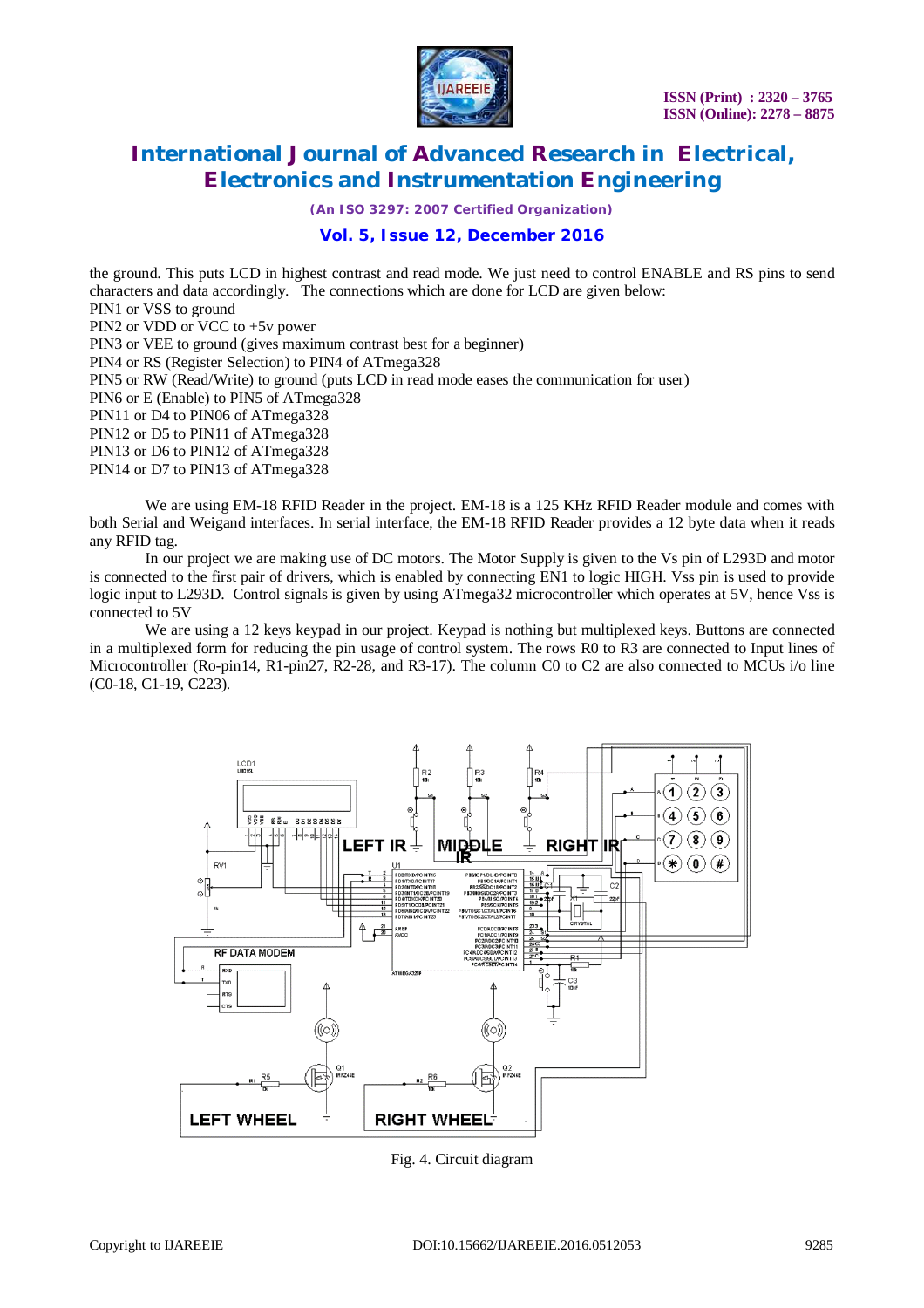

*(An ISO 3297: 2007 Certified Organization)*

## **Vol. 5, Issue 12, December 2016**

the ground. This puts LCD in highest contrast and read mode. We just need to control ENABLE and RS pins to send characters and data accordingly. The connections which are done for LCD are given below: PIN1 or VSS to ground PIN2 or VDD or VCC to  $+5v$  power PIN3 or VEE to ground (gives maximum contrast best for a beginner) PIN4 or RS (Register Selection) to PIN4 of ATmega328 PIN5 or RW (Read/Write) to ground (puts LCD in read mode eases the communication for user) PIN6 or E (Enable) to PIN5 of ATmega328 PIN11 or D4 to PIN06 of ATmega328 PIN12 or D5 to PIN11 of ATmega328 PIN13 or D6 to PIN12 of ATmega328 PIN14 or D7 to PIN13 of ATmega328

We are using EM-18 RFID Reader in the project. EM-18 is a 125 KHz RFID Reader module and comes with both Serial and Weigand interfaces. In serial interface, the EM-18 RFID Reader provides a 12 byte data when it reads any RFID tag.

In our project we are making use of DC motors. The Motor Supply is given to the Vs pin of L293D and motor is connected to the first pair of drivers, which is enabled by connecting EN1 to logic HIGH. Vss pin is used to provide logic input to L293D. Control signals is given by using ATmega32 microcontroller which operates at 5V, hence Vss is connected to 5V

We are using a 12 keys keypad in our project. Keypad is nothing but multiplexed keys. Buttons are connected in a multiplexed form for reducing the pin usage of control system. The rows R0 to R3 are connected to Input lines of Microcontroller (Ro-pin14, R1-pin27, R2-28, and R3-17). The column C0 to C2 are also connected to MCUs i/o line (C0-18, C1-19, C223).



Fig. 4. Circuit diagram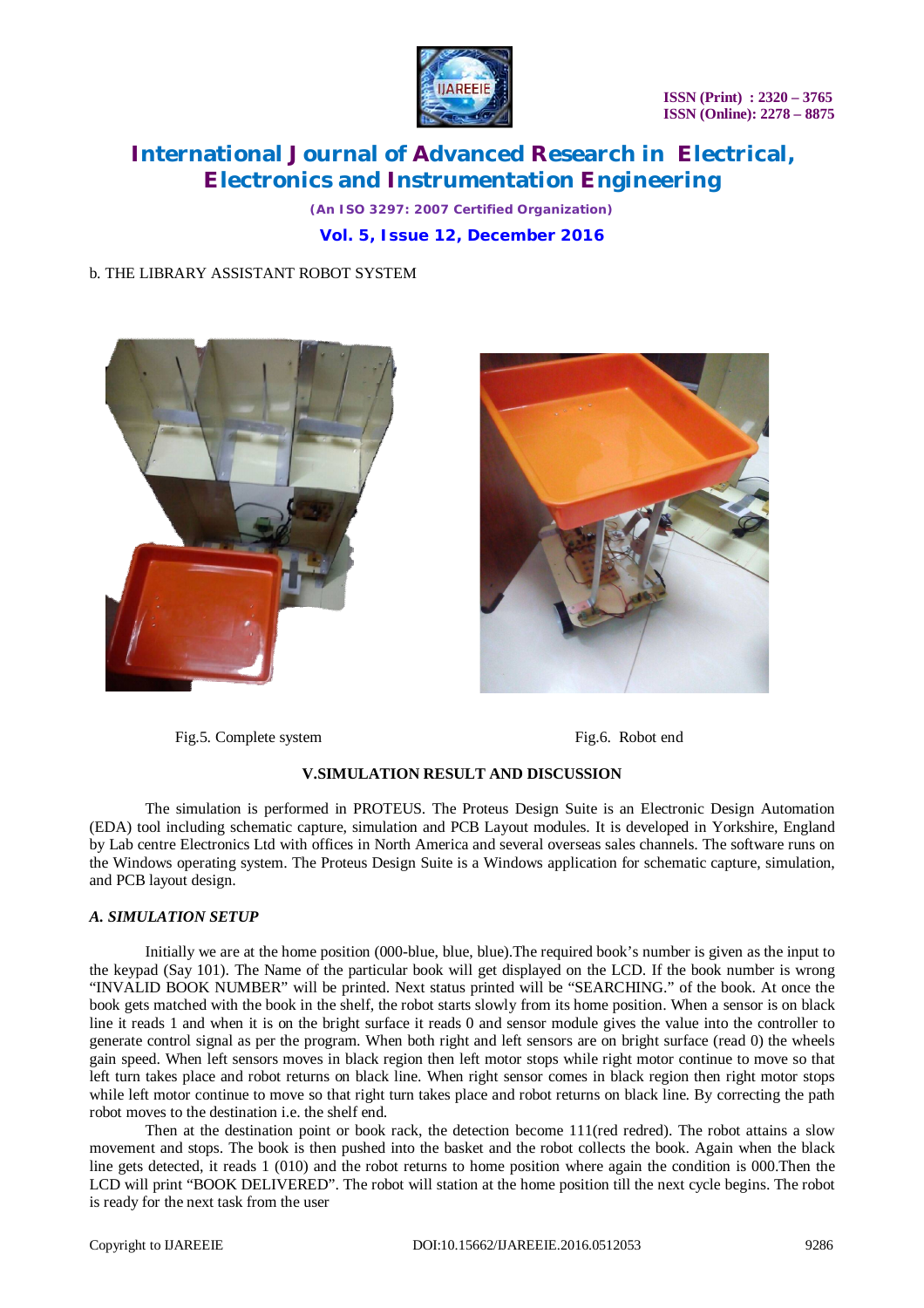

*(An ISO 3297: 2007 Certified Organization)* **Vol. 5, Issue 12, December 2016**

### b. THE LIBRARY ASSISTANT ROBOT SYSTEM





Fig.5. Complete system Fig.6. Robot end

### **V.SIMULATION RESULT AND DISCUSSION**

The simulation is performed in PROTEUS. The Proteus Design Suite is an Electronic Design Automation (EDA) tool including schematic capture, simulation and PCB Layout modules. It is developed in Yorkshire, England by Lab centre Electronics Ltd with offices in North America and several overseas sales channels. The software runs on the Windows operating system. The Proteus Design Suite is a Windows application for schematic capture, simulation, and PCB layout design.

#### *A. SIMULATION SETUP*

Initially we are at the home position (000-blue, blue, blue).The required book's number is given as the input to the keypad (Say 101). The Name of the particular book will get displayed on the LCD. If the book number is wrong "INVALID BOOK NUMBER" will be printed. Next status printed will be "SEARCHING." of the book. At once the book gets matched with the book in the shelf, the robot starts slowly from its home position. When a sensor is on black line it reads 1 and when it is on the bright surface it reads 0 and sensor module gives the value into the controller to generate control signal as per the program. When both right and left sensors are on bright surface (read 0) the wheels gain speed. When left sensors moves in black region then left motor stops while right motor continue to move so that left turn takes place and robot returns on black line. When right sensor comes in black region then right motor stops while left motor continue to move so that right turn takes place and robot returns on black line. By correcting the path robot moves to the destination i.e. the shelf end.

Then at the destination point or book rack, the detection become 111(red redred). The robot attains a slow movement and stops. The book is then pushed into the basket and the robot collects the book. Again when the black line gets detected, it reads 1 (010) and the robot returns to home position where again the condition is 000.Then the LCD will print "BOOK DELIVERED". The robot will station at the home position till the next cycle begins. The robot is ready for the next task from the user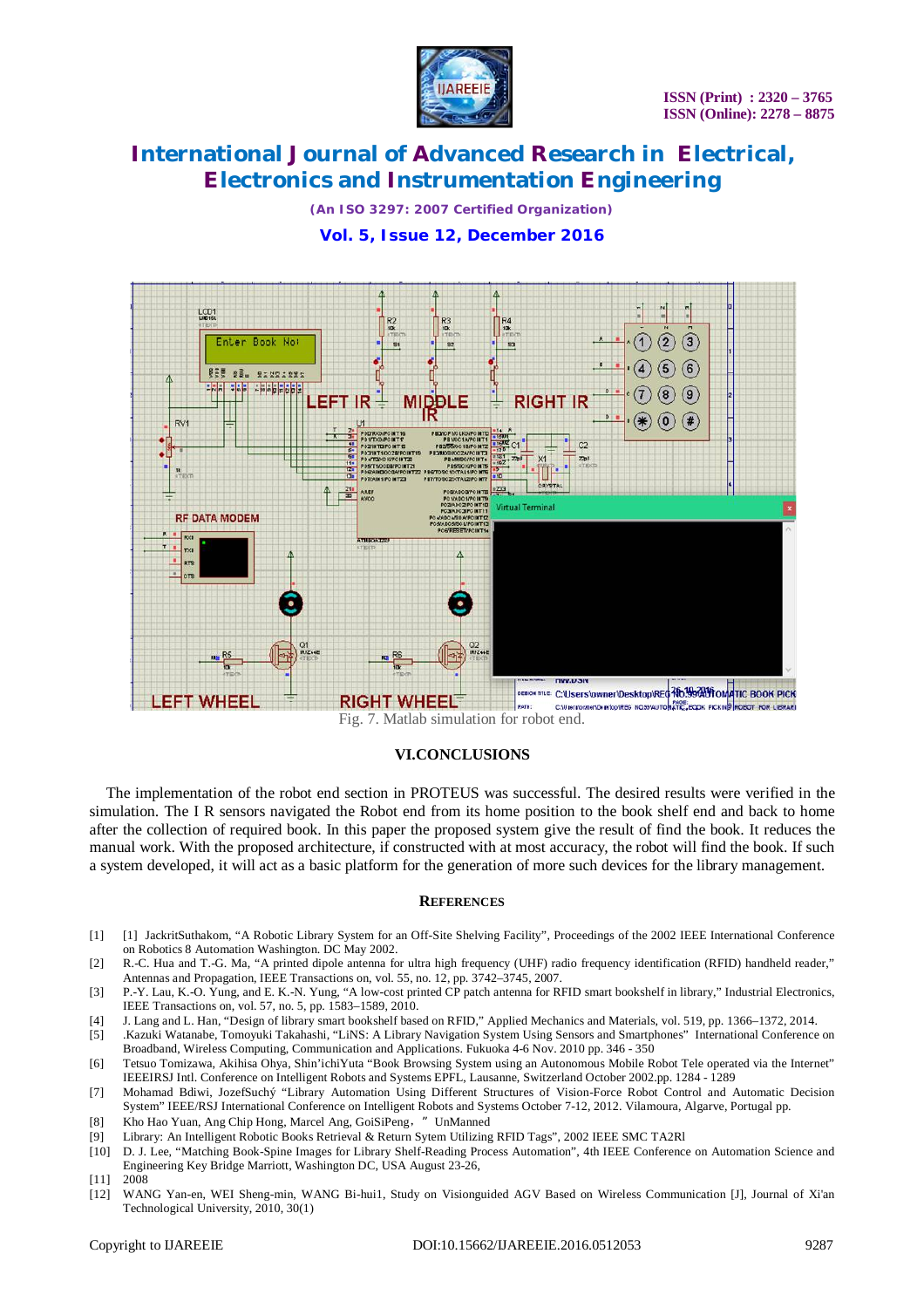

*(An ISO 3297: 2007 Certified Organization)* **Vol. 5, Issue 12, December 2016**



Fig. 7. Matlab simulation for robot end.

#### **VI.CONCLUSIONS**

The implementation of the robot end section in PROTEUS was successful. The desired results were verified in the simulation. The I R sensors navigated the Robot end from its home position to the book shelf end and back to home after the collection of required book. In this paper the proposed system give the result of find the book. It reduces the manual work. With the proposed architecture, if constructed with at most accuracy, the robot will find the book. If such a system developed, it will act as a basic platform for the generation of more such devices for the library management.

#### **REFERENCES**

- [1] [1] JackritSuthakom, "A Robotic Library System for an Off-Site Shelving Facility", Proceedings of the 2002 IEEE International Conference on Robotics 8 Automation Washington. DC May 2002.
- [2] R.-C. Hua and T.-G. Ma, "A printed dipole antenna for ultra high frequency (UHF) radio frequency identification (RFID) handheld reader," Antennas and Propagation, IEEE Transactions on, vol. 55, no. 12, pp. 3742–3745, 2007.
- [3] P.-Y. Lau, K.-O. Yung, and E. K.-N. Yung, "A low-cost printed CP patch antenna for RFID smart bookshelf in library," Industrial Electronics, IEEE Transactions on, vol. 57, no. 5, pp. 1583–1589, 2010.
- [4] J. Lang and L. Han, "Design of library smart bookshelf based on RFID," Applied Mechanics and Materials, vol. 519, pp. 1366–1372, 2014.
- [5] .Kazuki Watanabe, Tomoyuki Takahashi, "LiNS: A Library Navigation System Using Sensors and Smartphones" International Conference on Broadband, Wireless Computing, Communication and Applications. Fukuoka 4-6 Nov. 2010 pp. 346 - 350
- [6] Tetsuo Tomizawa, Akihisa Ohya, Shin'ichiYuta "Book Browsing System using an Autonomous Mobile Robot Tele operated via the Internet" IEEEIRSJ Intl. Conference on Intelligent Robots and Systems EPFL, Lausanne, Switzerland October 2002.pp. 1284 - 1289
- [7] Mohamad Bdiwi, JozefSuchý "Library Automation Using Different Structures of Vision-Force Robot Control and Automatic Decision System" IEEE/RSJ International Conference on Intelligent Robots and Systems October 7-12, 2012. Vilamoura, Algarve, Portugal pp.
- [8] Kho Hao Yuan, Ang Chip Hong, Marcel Ang, GoiSiPeng,"UnManned
- [9] Library: An Intelligent Robotic Books Retrieval & Return Sytem Utilizing RFID Tags", 2002 IEEE SMC TA2Rl
- [10] D. J. Lee, "Matching Book-Spine Images for Library Shelf-Reading Process Automation", 4th IEEE Conference on Automation Science and Engineering Key Bridge Marriott, Washington DC, USA August 23-26,
- [11] 2008
- [12] WANG Yan-en, WEI Sheng-min, WANG Bi-hui1, Study on Visionguided AGV Based on Wireless Communication [J], Journal of Xi'an Technological University, 2010, 30(1)